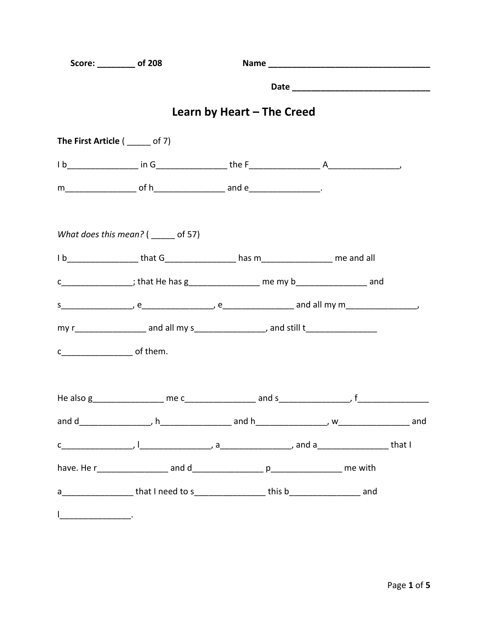| Score: __________ of 208       |                                                                                       |                            |  |  |
|--------------------------------|---------------------------------------------------------------------------------------|----------------------------|--|--|
|                                |                                                                                       |                            |  |  |
|                                |                                                                                       | Learn by Heart - The Creed |  |  |
| The First Article ( ____ of 7) |                                                                                       |                            |  |  |
|                                |                                                                                       |                            |  |  |
|                                |                                                                                       |                            |  |  |
|                                | What does this mean? $($ ______ of 57)                                                |                            |  |  |
|                                | 1b___________________that G__________________has m_________________________me and all |                            |  |  |
|                                | c_________________; that He has g__________________ me my b__________________ and     |                            |  |  |
|                                |                                                                                       |                            |  |  |
|                                |                                                                                       |                            |  |  |
|                                |                                                                                       |                            |  |  |
|                                |                                                                                       |                            |  |  |
|                                |                                                                                       |                            |  |  |
|                                |                                                                                       |                            |  |  |
|                                |                                                                                       |                            |  |  |
|                                | a___________________that I need to s__________________this b____________________ and  |                            |  |  |
|                                |                                                                                       |                            |  |  |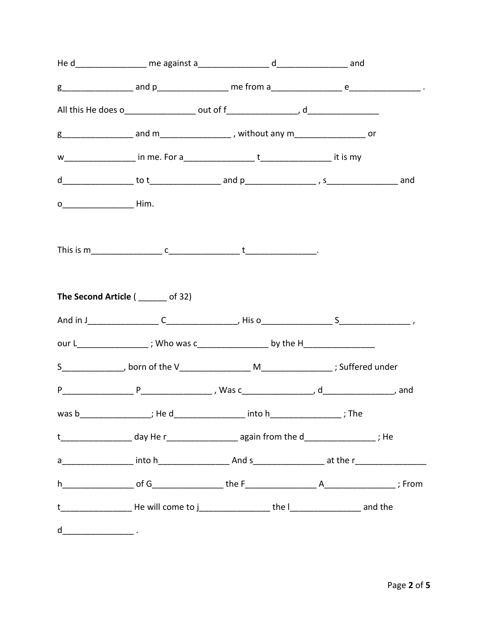|   | The Second Article (______ of 32) |                                                                                                                    |  |
|---|-----------------------------------|--------------------------------------------------------------------------------------------------------------------|--|
|   |                                   |                                                                                                                    |  |
|   |                                   | our L__________________; Who was c_____________________ by the H________________                                   |  |
|   |                                   |                                                                                                                    |  |
|   |                                   |                                                                                                                    |  |
|   |                                   | was b____________________; He d___________________ into h____________________; The                                 |  |
|   |                                   | t____________________day He r________________________again from the d__________________; He                        |  |
|   |                                   |                                                                                                                    |  |
|   |                                   |                                                                                                                    |  |
|   |                                   | t_____________________________He will come to j_________________________the l_____________________________ and the |  |
| d |                                   |                                                                                                                    |  |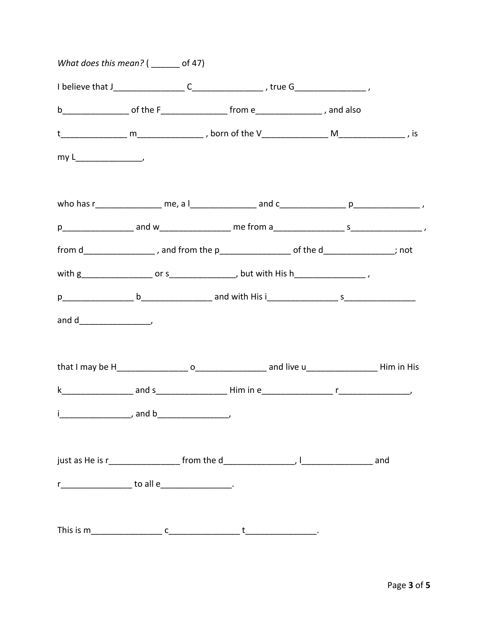| What does this mean? $($ _______ of 47)             |                                                                                               |  |
|-----------------------------------------------------|-----------------------------------------------------------------------------------------------|--|
|                                                     |                                                                                               |  |
|                                                     |                                                                                               |  |
|                                                     |                                                                                               |  |
|                                                     |                                                                                               |  |
|                                                     |                                                                                               |  |
|                                                     |                                                                                               |  |
|                                                     | from d__________________, and from the p_______________________ of the d________________; not |  |
|                                                     |                                                                                               |  |
|                                                     |                                                                                               |  |
|                                                     |                                                                                               |  |
|                                                     |                                                                                               |  |
|                                                     |                                                                                               |  |
|                                                     |                                                                                               |  |
|                                                     |                                                                                               |  |
| r____________________ to all e____________________. |                                                                                               |  |
|                                                     |                                                                                               |  |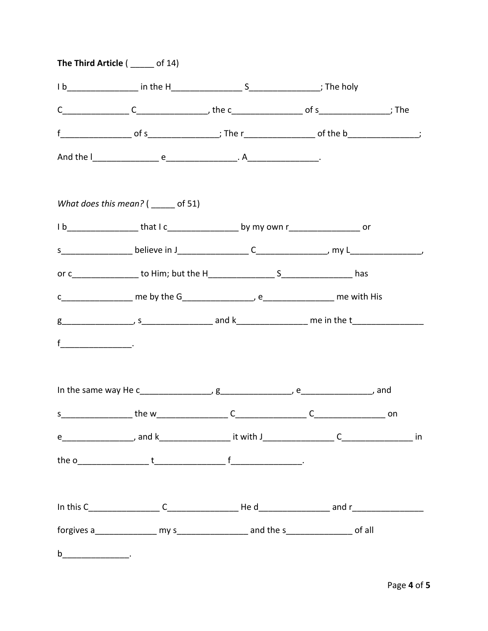| The Third Article $($ ______ of 14)                                                     |  |    |
|-----------------------------------------------------------------------------------------|--|----|
|                                                                                         |  |    |
|                                                                                         |  |    |
|                                                                                         |  |    |
|                                                                                         |  |    |
| What does this mean? $($ ______ of 51)                                                  |  |    |
| 1b__________________that I c________________________by my own r______________________or |  |    |
|                                                                                         |  |    |
|                                                                                         |  |    |
|                                                                                         |  |    |
|                                                                                         |  |    |
|                                                                                         |  |    |
|                                                                                         |  |    |
|                                                                                         |  | on |
|                                                                                         |  |    |
|                                                                                         |  |    |
|                                                                                         |  |    |
|                                                                                         |  |    |
| $\mathbf b$ . The contract of $\mathbf b$                                               |  |    |